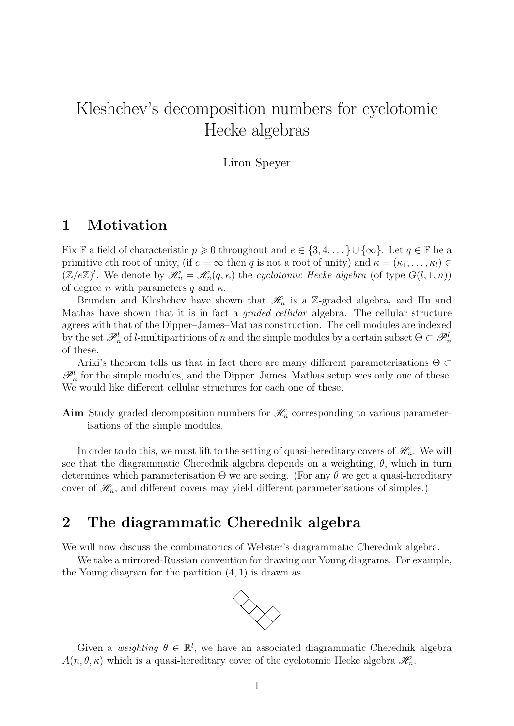# Kleshchev's decomposition numbers for cyclotomic Hecke algebras

Liron Speyer

### 1 Motivation

Fix F a field of characteristic  $p \geq 0$  throughout and  $e \in \{3, 4, \dots\} \cup \{\infty\}$ . Let  $q \in \mathbb{F}$  be a primitive eth root of unity, (if  $e = \infty$  then q is not a root of unity) and  $\kappa = (\kappa_1, \ldots, \kappa_l) \in$  $(\mathbb{Z}/e\mathbb{Z})^l$ . We denote by  $\mathscr{H}_n = \mathscr{H}_n(q,\kappa)$  the cyclotomic Hecke algebra (of type  $G(l,1,n)$ ) of degree *n* with parameters q and  $\kappa$ .

Brundan and Kleshchev have shown that  $\mathcal{H}_n$  is a Z-graded algebra, and Hu and Mathas have shown that it is in fact a graded cellular algebra. The cellular structure agrees with that of the Dipper–James–Mathas construction. The cell modules are indexed by the set  $\mathscr{P}_n^l$  of *l*-multipartitions of n and the simple modules by a certain subset  $\Theta \subset \mathscr{P}_n^l$ of these.

Ariki's theorem tells us that in fact there are many different parameterisations  $\Theta \subset$  $\mathscr{P}_n^l$  for the simple modules, and the Dipper–James–Mathas setup sees only one of these. We would like different cellular structures for each one of these.

Aim Study graded decomposition numbers for  $\mathcal{H}_n$  corresponding to various parameterisations of the simple modules.

In order to do this, we must lift to the setting of quasi-hereditary covers of  $\mathcal{H}_n$ . We will see that the diagrammatic Cherednik algebra depends on a weighting,  $\theta$ , which in turn determines which parameterisation  $\Theta$  we are seeing. (For any  $\theta$  we get a quasi-hereditary cover of  $\mathcal{H}_n$ , and different covers may yield different parameterisations of simples.)

#### 2 The diagrammatic Cherednik algebra

We will now discuss the combinatorics of Webster's diagrammatic Cherednik algebra.

We take a mirrored-Russian convention for drawing our Young diagrams. For example, the Young diagram for the partition (4, 1) is drawn as



Given a weighting  $\theta \in \mathbb{R}^l$ , we have an associated diagrammatic Cherednik algebra  $A(n, \theta, \kappa)$  which is a quasi-hereditary cover of the cyclotomic Hecke algebra  $\mathscr{H}_n$ .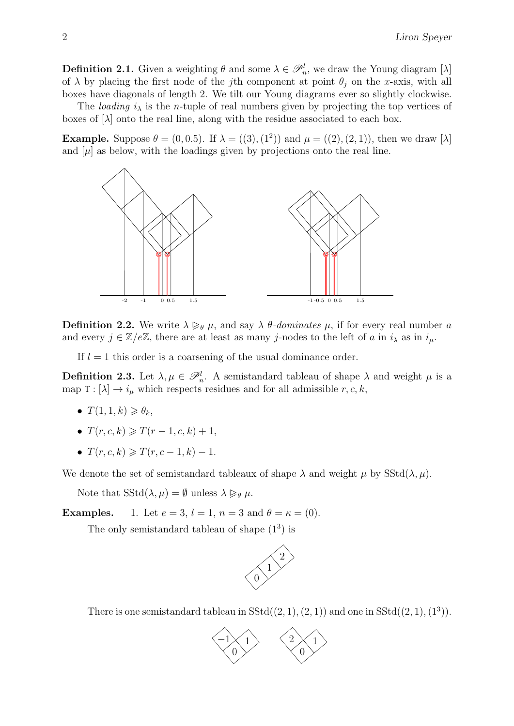**Definition 2.1.** Given a weighting  $\theta$  and some  $\lambda \in \mathcal{P}_n^l$ , we draw the Young diagram [ $\lambda$ ] of  $\lambda$  by placing the first node of the j<sup>th</sup> component at point  $\theta_i$  on the x-axis, with all boxes have diagonals of length 2. We tilt our Young diagrams ever so slightly clockwise.

The *loading*  $i_{\lambda}$  is the *n*-tuple of real numbers given by projecting the top vertices of boxes of  $[\lambda]$  onto the real line, along with the residue associated to each box.

**Example.** Suppose  $\theta = (0, 0.5)$ . If  $\lambda = ((3), (1^2))$  and  $\mu = ((2), (2, 1))$ , then we draw  $[\lambda]$ and  $[\mu]$  as below, with the loadings given by projections onto the real line.



**Definition 2.2.** We write  $\lambda \geq_{\theta} \mu$ , and say  $\lambda \theta$ -dominates  $\mu$ , if for every real number a and every  $j \in \mathbb{Z}/e\mathbb{Z}$ , there are at least as many j-nodes to the left of a in  $i_{\lambda}$  as in  $i_{\mu}$ .

If  $l = 1$  this order is a coarsening of the usual dominance order.

**Definition 2.3.** Let  $\lambda, \mu \in \mathcal{P}_n^l$ . A semistandard tableau of shape  $\lambda$  and weight  $\mu$  is a map  $T : [\lambda] \to i_{\mu}$  which respects residues and for all admissible  $r, c, k$ ,

- $T(1, 1, k) \geq \theta_k$
- $T(r, c, k) \geq T(r 1, c, k) + 1$
- $T(r, c, k) \geq T(r, c 1, k) 1.$

We denote the set of semistandard tableaux of shape  $\lambda$  and weight  $\mu$  by SStd( $\lambda, \mu$ ).

Note that  $SStd(\lambda, \mu) = \emptyset$  unless  $\lambda \geq_{\theta} \mu$ .

**Examples.** 1. Let  $e = 3$ ,  $l = 1$ ,  $n = 3$  and  $\theta = \kappa = (0)$ .

The only semistandard tableau of shape  $(1^3)$  is



There is one semistandard tableau in  $SStd((2, 1), (2, 1))$  and one in  $SStd((2, 1), (1^3))$ .

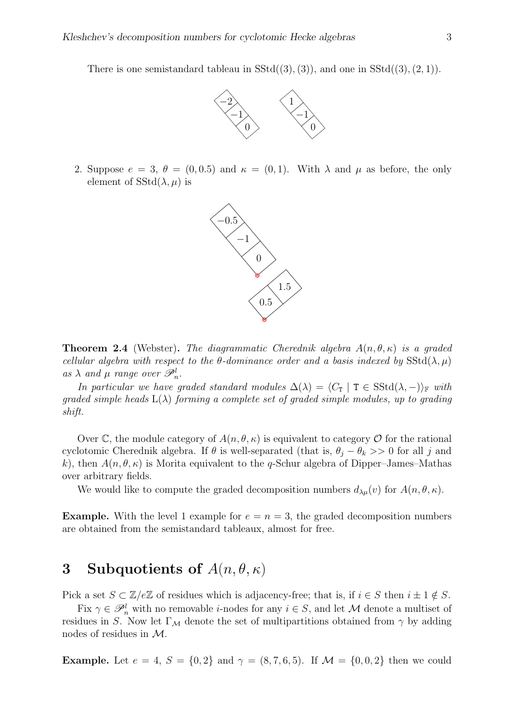There is one semistandard tableau in  $SStd((3), (3))$ , and one in  $SStd((3), (2, 1))$ .



2. Suppose  $e = 3$ ,  $\theta = (0, 0.5)$  and  $\kappa = (0, 1)$ . With  $\lambda$  and  $\mu$  as before, the only element of  $SStd(\lambda, \mu)$  is



**Theorem 2.4** (Webster). The diagrammatic Cherednik algebra  $A(n, \theta, \kappa)$  is a graded cellular algebra with respect to the  $\theta$ -dominance order and a basis indexed by SStd( $\lambda, \mu$ ) as  $\lambda$  and  $\mu$  range over  $\mathscr{P}_n^l$ .

In particular we have graded standard modules  $\Delta(\lambda) = \langle C_\mathbf{T} | T \in SStd(\lambda, -)\rangle_{\mathbb{F}}$  with qraded simple heads  $L(\lambda)$  forming a complete set of graded simple modules, up to grading shift.

Over C, the module category of  $A(n, \theta, \kappa)$  is equivalent to category O for the rational cyclotomic Cherednik algebra. If  $\theta$  is well-separated (that is,  $\theta_i - \theta_k >> 0$  for all j and k), then  $A(n, \theta, \kappa)$  is Morita equivalent to the q-Schur algebra of Dipper–James–Mathas over arbitrary fields.

We would like to compute the graded decomposition numbers  $d_{\lambda\mu}(v)$  for  $A(n, \theta, \kappa)$ .

**Example.** With the level 1 example for  $e = n = 3$ , the graded decomposition numbers are obtained from the semistandard tableaux, almost for free.

## 3 Subquotients of  $A(n, \theta, \kappa)$

Pick a set  $S \subset \mathbb{Z}/e\mathbb{Z}$  of residues which is adjacency-free; that is, if  $i \in S$  then  $i \pm 1 \notin S$ .

Fix  $\gamma \in \mathscr{P}_n^l$  with no removable *i*-nodes for any  $i \in S$ , and let M denote a multiset of residues in S. Now let  $\Gamma_M$  denote the set of multipartitions obtained from  $\gamma$  by adding nodes of residues in M.

**Example.** Let  $e = 4$ ,  $S = \{0, 2\}$  and  $\gamma = (8, 7, 6, 5)$ . If  $\mathcal{M} = \{0, 0, 2\}$  then we could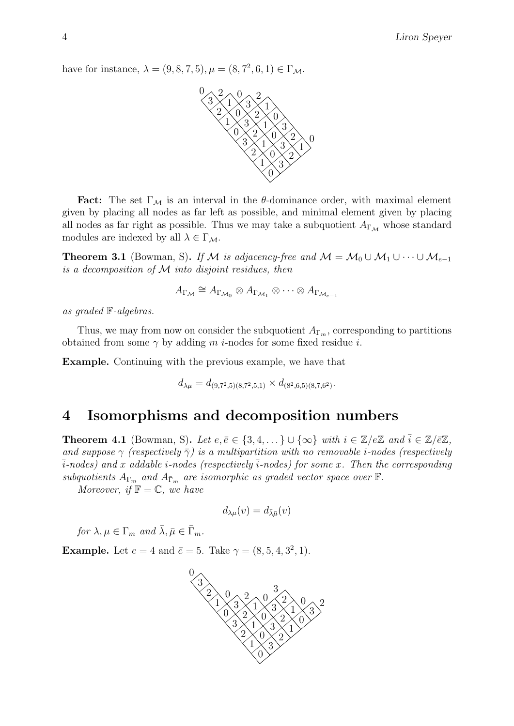have for instance,  $\lambda = (9, 8, 7, 5), \mu = (8, 7^2, 6, 1) \in \Gamma_{\mathcal{M}}$ .



**Fact:** The set  $\Gamma_M$  is an interval in the  $\theta$ -dominance order, with maximal element given by placing all nodes as far left as possible, and minimal element given by placing all nodes as far right as possible. Thus we may take a subquotient  $A_{\Gamma_M}$  whose standard modules are indexed by all  $\lambda \in \Gamma_{\mathcal{M}}$ .

**Theorem 3.1** (Bowman, S). If M is adjacency-free and  $M = M_0 \cup M_1 \cup \cdots \cup M_{e-1}$ is a decomposition of  $M$  into disjoint residues, then

$$
A_{\Gamma_{\mathcal{M}}} \cong A_{\Gamma_{\mathcal{M}_0}} \otimes A_{\Gamma_{\mathcal{M}_1}} \otimes \cdots \otimes A_{\Gamma_{\mathcal{M}_{e-1}}}
$$

as graded F-algebras.

Thus, we may from now on consider the subquotient  $A_{\Gamma_m}$ , corresponding to partitions obtained from some  $\gamma$  by adding m *i*-nodes for some fixed residue *i*.

Example. Continuing with the previous example, we have that

$$
d_{\lambda\mu} = d_{(9,7^2,5)(8,7^2,5,1)} \times d_{(8^2,6,5)(8,7,6^2)}.
$$

#### 4 Isomorphisms and decomposition numbers

**Theorem 4.1** (Bowman, S). Let  $e, \bar{e} \in \{3, 4, ...\} \cup \{\infty\}$  with  $i \in \mathbb{Z}/e\mathbb{Z}$  and  $\bar{i} \in \mathbb{Z}/\bar{e}\mathbb{Z}$ , and suppose  $\gamma$  (respectively  $\bar{\gamma}$ ) is a multipartition with no removable *i*-nodes (respectively  $\overline{i}$ -nodes) and x addable *i*-nodes (respectively  $\overline{i}$ -nodes) for some x. Then the corresponding subquotients  $A_{\Gamma_m}$  and  $A_{\bar{\Gamma}_m}$  are isomorphic as graded vector space over  $\mathbb{F}$ .

Moreover, if  $\mathbb{F} = \mathbb{C}$ , we have

$$
d_{\lambda\mu}(v)=d_{\bar{\lambda}\bar{\mu}}(v)
$$

for  $\lambda, \mu \in \Gamma_m$  and  $\bar{\lambda}, \bar{\mu} \in \bar{\Gamma}_m$ .

**Example.** Let  $e = 4$  and  $\bar{e} = 5$ . Take  $\gamma = (8, 5, 4, 3^2, 1)$ .

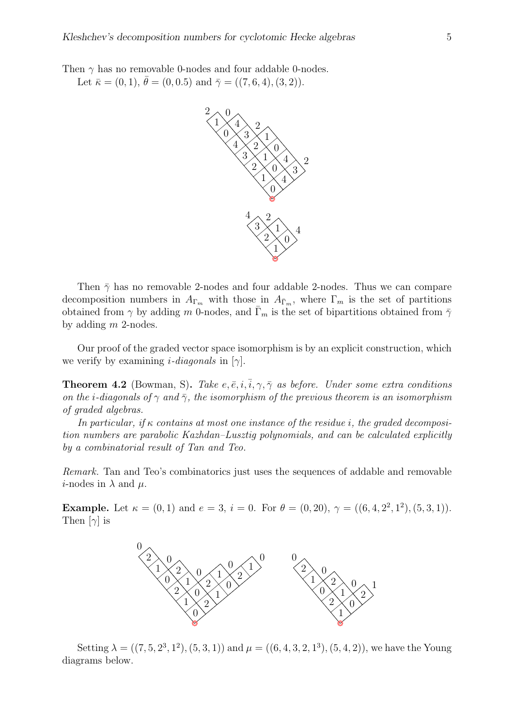Then  $\gamma$  has no removable 0-nodes and four addable 0-nodes.

Let  $\bar{\kappa} = (0, 1), \bar{\theta} = (0, 0.5)$  and  $\bar{\gamma} = ((7, 6, 4), (3, 2)).$ 



Then  $\bar{\gamma}$  has no removable 2-nodes and four addable 2-nodes. Thus we can compare decomposition numbers in  $A_{\Gamma_m}$  with those in  $A_{\overline{\Gamma}_m}$ , where  $\Gamma_m$  is the set of partitions obtained from  $\gamma$  by adding m 0-nodes, and  $\overline{\Gamma}_m$  is the set of bipartitions obtained from  $\overline{\gamma}$ by adding m 2-nodes.

Our proof of the graded vector space isomorphism is by an explicit construction, which we verify by examining *i*-diagonals in [ $\gamma$ ].

**Theorem 4.2** (Bowman, S). Take  $e, \overline{e}, i, \overline{i}, \gamma, \overline{\gamma}$  as before. Under some extra conditions on the *i*-diagonals of  $\gamma$  and  $\bar{\gamma}$ , the isomorphism of the previous theorem is an isomorphism of graded algebras.

In particular, if  $\kappa$  contains at most one instance of the residue i, the graded decomposition numbers are parabolic Kazhdan–Lusztig polynomials, and can be calculated explicitly by a combinatorial result of Tan and Teo.

Remark. Tan and Teo's combinatorics just uses the sequences of addable and removable *i*-nodes in  $\lambda$  and  $\mu$ .

**Example.** Let  $\kappa = (0, 1)$  and  $e = 3$ ,  $i = 0$ . For  $\theta = (0, 20)$ ,  $\gamma = ((6, 4, 2^2, 1^2), (5, 3, 1))$ . Then  $[\gamma]$  is



Setting  $\lambda = ((7, 5, 2^3, 1^2), (5, 3, 1))$  and  $\mu = ((6, 4, 3, 2, 1^3), (5, 4, 2))$ , we have the Young diagrams below.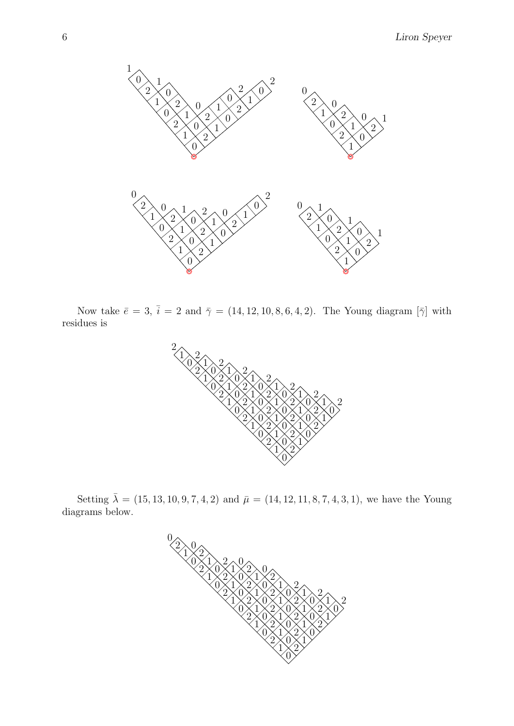

Now take  $\bar{e} = 3$ ,  $\bar{i} = 2$  and  $\bar{\gamma} = (14, 12, 10, 8, 6, 4, 2)$ . The Young diagram  $[\bar{\gamma}]$  with residues is



Setting  $\bar{\lambda} = (15, 13, 10, 9, 7, 4, 2)$  and  $\bar{\mu} = (14, 12, 11, 8, 7, 4, 3, 1)$ , we have the Young diagrams below.

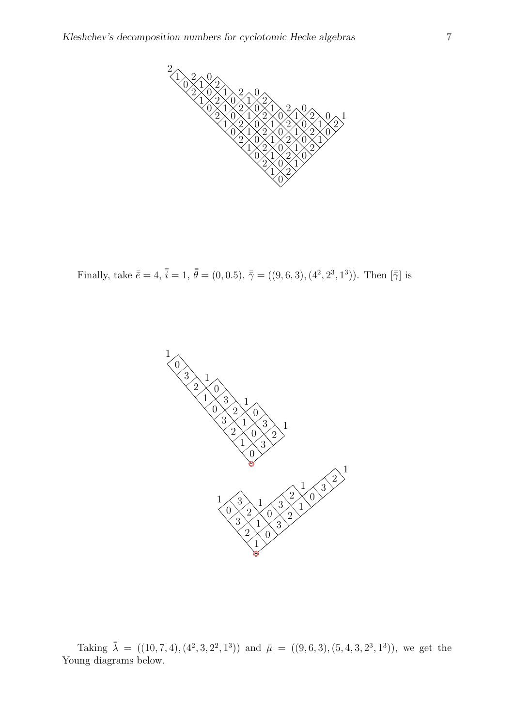

Finally, take  $\bar{\bar{e}} = 4$ ,  $\bar{\bar{i}} = 1$ ,  $\bar{\bar{\theta}} = (0, 0.5)$ ,  $\bar{\bar{\gamma}} = ((9, 6, 3), (4^2, 2^3, 1^3))$ . Then  $|\bar{\bar{\gamma}}|$  is



Taking  $\bar{\lambda} = ((10, 7, 4), (4^2, 3, 2^2, 1^3))$  and  $\bar{\mu} = ((9, 6, 3), (5, 4, 3, 2^3, 1^3))$ , we get the Young diagrams below.